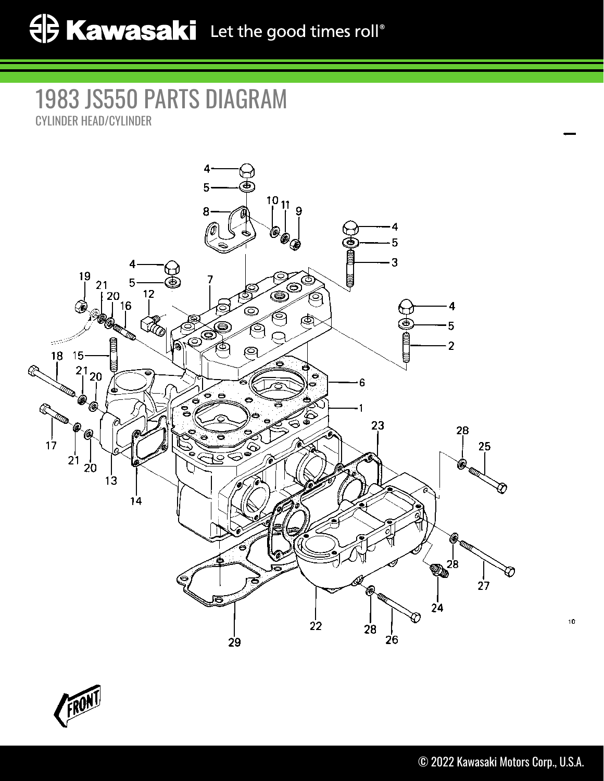## 1983 JS550 PARTS DIAGRAM CYLINDER HEAD/CYLINDER





101